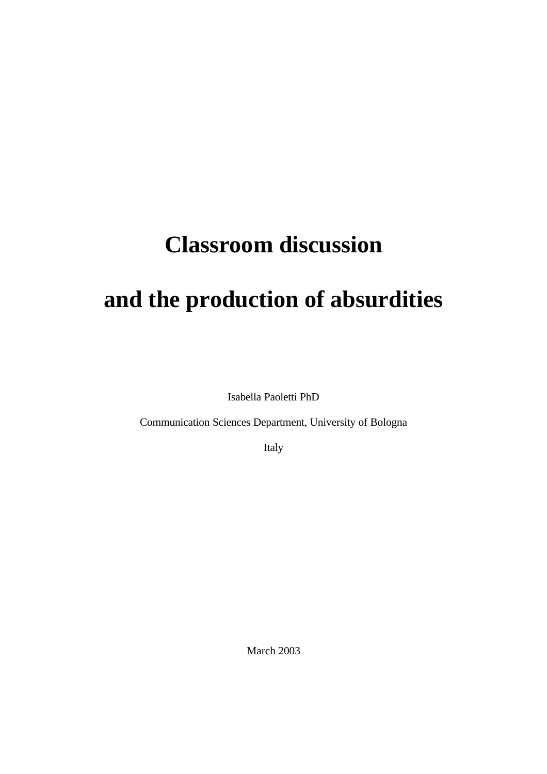# **Classroom discussion**

# **and the production of absurdities**

Isabella Paoletti PhD

Communication Sciences Department, University of Bologna

Italy

March 2003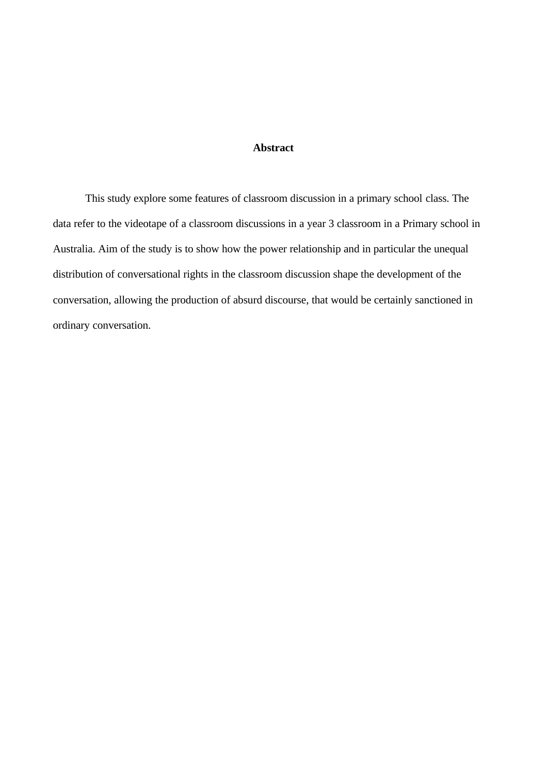# **Abstract**

This study explore some features of classroom discussion in a primary school class. The data refer to the videotape of a classroom discussions in a year 3 classroom in a Primary school in Australia. Aim of the study is to show how the power relationship and in particular the unequal distribution of conversational rights in the classroom discussion shape the development of the conversation, allowing the production of absurd discourse, that would be certainly sanctioned in ordinary conversation.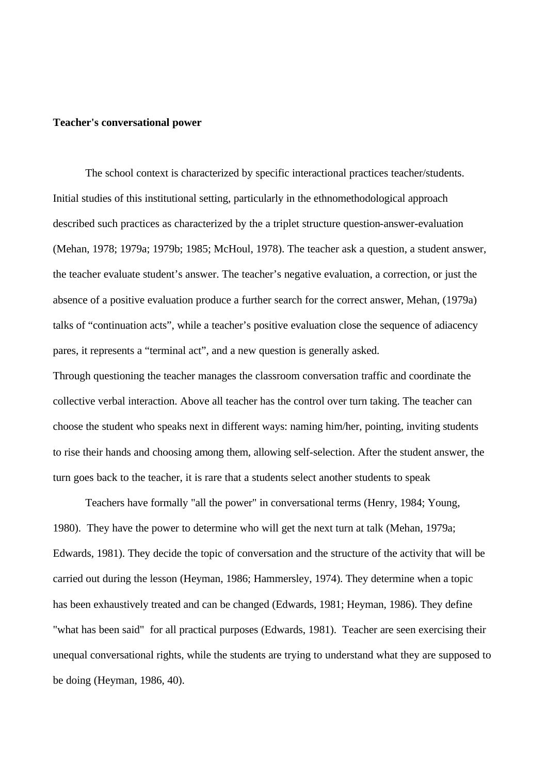#### **Teacher's conversational power**

The school context is characterized by specific interactional practices teacher/students. Initial studies of this institutional setting, particularly in the ethnomethodological approach described such practices as characterized by the a triplet structure question-answer-evaluation (Mehan, 1978; 1979a; 1979b; 1985; McHoul, 1978). The teacher ask a question, a student answer, the teacher evaluate student's answer. The teacher's negative evaluation, a correction, or just the absence of a positive evaluation produce a further search for the correct answer, Mehan, (1979a) talks of "continuation acts", while a teacher's positive evaluation close the sequence of adiacency pares, it represents a "terminal act", and a new question is generally asked.

Through questioning the teacher manages the classroom conversation traffic and coordinate the collective verbal interaction. Above all teacher has the control over turn taking. The teacher can choose the student who speaks next in different ways: naming him/her, pointing, inviting students to rise their hands and choosing among them, allowing self-selection. After the student answer, the turn goes back to the teacher, it is rare that a students select another students to speak

Teachers have formally "all the power" in conversational terms (Henry, 1984; Young, 1980). They have the power to determine who will get the next turn at talk (Mehan, 1979a; Edwards, 1981). They decide the topic of conversation and the structure of the activity that will be carried out during the lesson (Heyman, 1986; Hammersley, 1974). They determine when a topic has been exhaustively treated and can be changed (Edwards, 1981; Heyman, 1986). They define "what has been said" for all practical purposes (Edwards, 1981). Teacher are seen exercising their unequal conversational rights, while the students are trying to understand what they are supposed to be doing (Heyman, 1986, 40).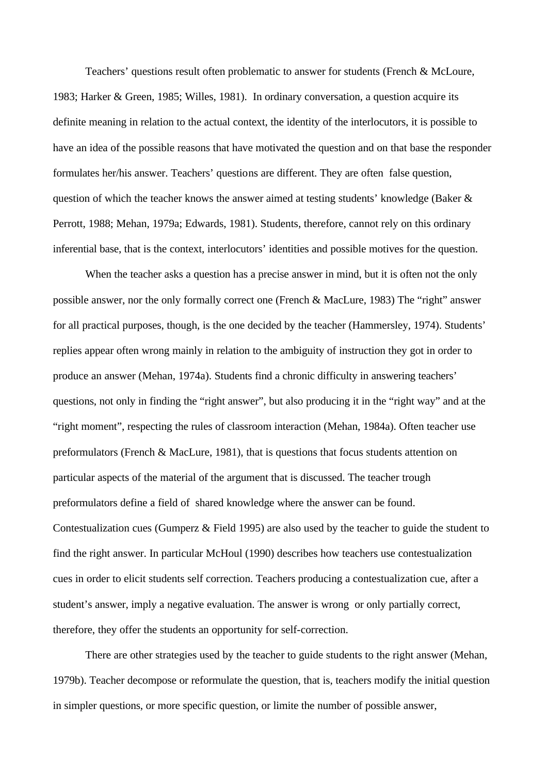Teachers' questions result often problematic to answer for students (French & McLoure, 1983; Harker & Green, 1985; Willes, 1981). In ordinary conversation, a question acquire its definite meaning in relation to the actual context, the identity of the interlocutors, it is possible to have an idea of the possible reasons that have motivated the question and on that base the responder formulates her/his answer. Teachers' questions are different. They are often false question, question of which the teacher knows the answer aimed at testing students' knowledge (Baker  $\&$ Perrott, 1988; Mehan, 1979a; Edwards, 1981). Students, therefore, cannot rely on this ordinary inferential base, that is the context, interlocutors' identities and possible motives for the question.

When the teacher asks a question has a precise answer in mind, but it is often not the only possible answer, nor the only formally correct one (French & MacLure, 1983) The "right" answer for all practical purposes, though, is the one decided by the teacher (Hammersley, 1974). Students' replies appear often wrong mainly in relation to the ambiguity of instruction they got in order to produce an answer (Mehan, 1974a). Students find a chronic difficulty in answering teachers' questions, not only in finding the "right answer", but also producing it in the "right way" and at the "right moment", respecting the rules of classroom interaction (Mehan, 1984a). Often teacher use preformulators (French & MacLure, 1981), that is questions that focus students attention on particular aspects of the material of the argument that is discussed. The teacher trough preformulators define a field of shared knowledge where the answer can be found. Contestualization cues (Gumperz & Field 1995) are also used by the teacher to guide the student to find the right answer. In particular McHoul (1990) describes how teachers use contestualization cues in order to elicit students self correction. Teachers producing a contestualization cue, after a student's answer, imply a negative evaluation. The answer is wrong or only partially correct, therefore, they offer the students an opportunity for self-correction.

There are other strategies used by the teacher to guide students to the right answer (Mehan, 1979b). Teacher decompose or reformulate the question, that is, teachers modify the initial question in simpler questions, or more specific question, or limite the number of possible answer,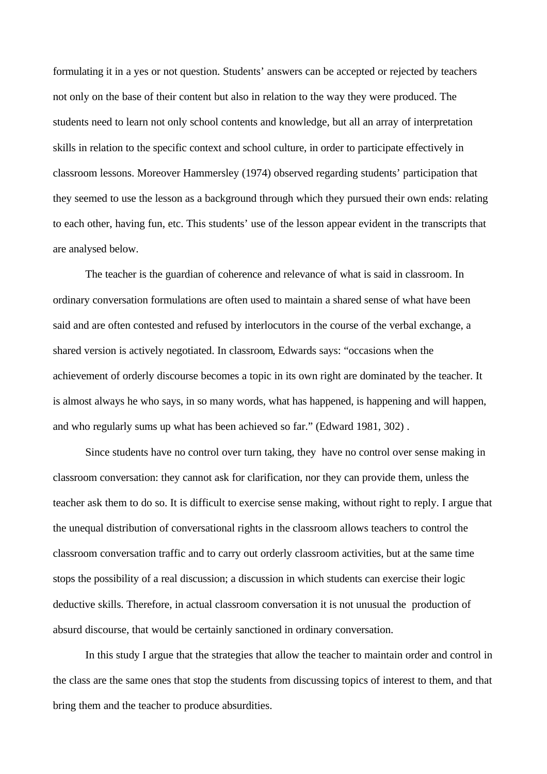formulating it in a yes or not question. Students' answers can be accepted or rejected by teachers not only on the base of their content but also in relation to the way they were produced. The students need to learn not only school contents and knowledge, but all an array of interpretation skills in relation to the specific context and school culture, in order to participate effectively in classroom lessons. Moreover Hammersley (1974) observed regarding students' participation that they seemed to use the lesson as a background through which they pursued their own ends: relating to each other, having fun, etc. This students' use of the lesson appear evident in the transcripts that are analysed below.

The teacher is the guardian of coherence and relevance of what is said in classroom. In ordinary conversation formulations are often used to maintain a shared sense of what have been said and are often contested and refused by interlocutors in the course of the verbal exchange, a shared version is actively negotiated. In classroom, Edwards says: "occasions when the achievement of orderly discourse becomes a topic in its own right are dominated by the teacher. It is almost always he who says, in so many words, what has happened, is happening and will happen, and who regularly sums up what has been achieved so far." (Edward 1981, 302) .

Since students have no control over turn taking, they have no control over sense making in classroom conversation: they cannot ask for clarification, nor they can provide them, unless the teacher ask them to do so. It is difficult to exercise sense making, without right to reply. I argue that the unequal distribution of conversational rights in the classroom allows teachers to control the classroom conversation traffic and to carry out orderly classroom activities, but at the same time stops the possibility of a real discussion; a discussion in which students can exercise their logic deductive skills. Therefore, in actual classroom conversation it is not unusual the production of absurd discourse, that would be certainly sanctioned in ordinary conversation.

In this study I argue that the strategies that allow the teacher to maintain order and control in the class are the same ones that stop the students from discussing topics of interest to them, and that bring them and the teacher to produce absurdities.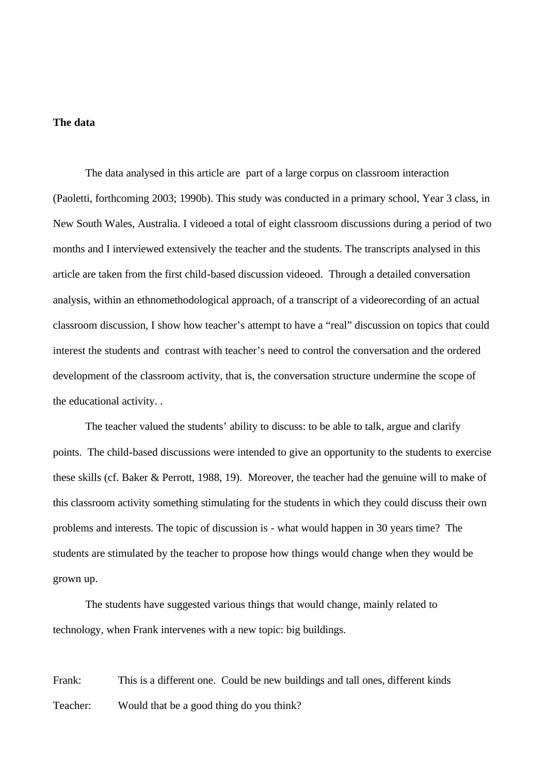#### **The data**

The data analysed in this article are part of a large corpus on classroom interaction (Paoletti, forthcoming 2003; 1990b). This study was conducted in a primary school, Year 3 class, in New South Wales, Australia. I videoed a total of eight classroom discussions during a period of two months and I interviewed extensively the teacher and the students. The transcripts analysed in this article are taken from the first child-based discussion videoed. Through a detailed conversation analysis, within an ethnomethodological approach, of a transcript of a videorecording of an actual classroom discussion, I show how teacher's attempt to have a "real" discussion on topics that could interest the students and contrast with teacher's need to control the conversation and the ordered development of the classroom activity, that is, the conversation structure undermine the scope of the educational activity. .

The teacher valued the students' ability to discuss: to be able to talk, argue and clarify points. The child-based discussions were intended to give an opportunity to the students to exercise these skills (cf. Baker & Perrott, 1988, 19). Moreover, the teacher had the genuine will to make of this classroom activity something stimulating for the students in which they could discuss their own problems and interests. The topic of discussion is - what would happen in 30 years time? The students are stimulated by the teacher to propose how things would change when they would be grown up.

The students have suggested various things that would change, mainly related to technology, when Frank intervenes with a new topic: big buildings.

Frank: This is a different one. Could be new buildings and tall ones, different kinds Teacher: Would that be a good thing do you think?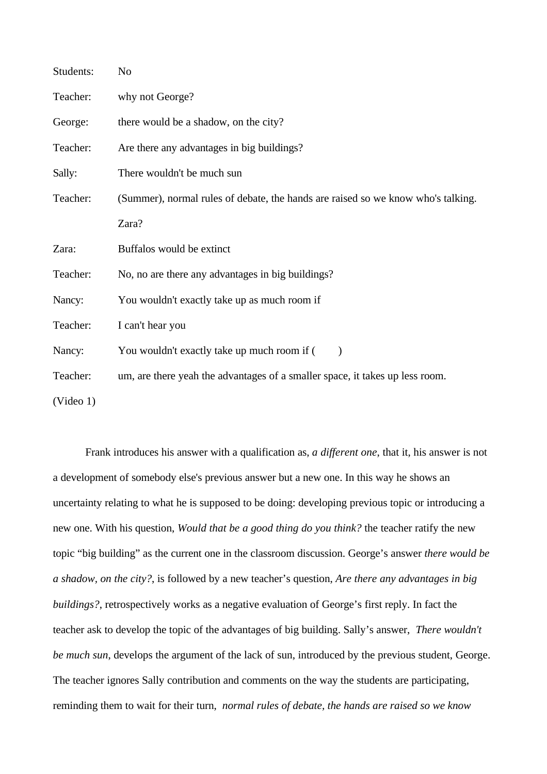| Students: | No                                                                               |
|-----------|----------------------------------------------------------------------------------|
| Teacher:  | why not George?                                                                  |
| George:   | there would be a shadow, on the city?                                            |
| Teacher:  | Are there any advantages in big buildings?                                       |
| Sally:    | There wouldn't be much sun                                                       |
| Teacher:  | (Summer), normal rules of debate, the hands are raised so we know who's talking. |
|           | Zara?                                                                            |
| Zara:     | Buffalos would be extinct                                                        |
| Teacher:  | No, no are there any advantages in big buildings?                                |
| Nancy:    | You wouldn't exactly take up as much room if                                     |
| Teacher:  | I can't hear you                                                                 |
| Nancy:    | You wouldn't exactly take up much room if (                                      |
| Teacher:  | um, are there yeah the advantages of a smaller space, it takes up less room.     |
| (Video 1) |                                                                                  |

Frank introduces his answer with a qualification as, *a different one*, that it, his answer is not a development of somebody else's previous answer but a new one. In this way he shows an uncertainty relating to what he is supposed to be doing: developing previous topic or introducing a new one. With his question, *Would that be a good thing do you think?* the teacher ratify the new topic "big building" as the current one in the classroom discussion. George's answer *there would be a shadow, on the city?*, is followed by a new teacher's question, *Are there any advantages in big buildings?*, retrospectively works as a negative evaluation of George's first reply. In fact the teacher ask to develop the topic of the advantages of big building. Sally's answer, *There wouldn't be much sun*, develops the argument of the lack of sun, introduced by the previous student, George. The teacher ignores Sally contribution and comments on the way the students are participating, reminding them to wait for their turn, *normal rules of debate, the hands are raised so we know*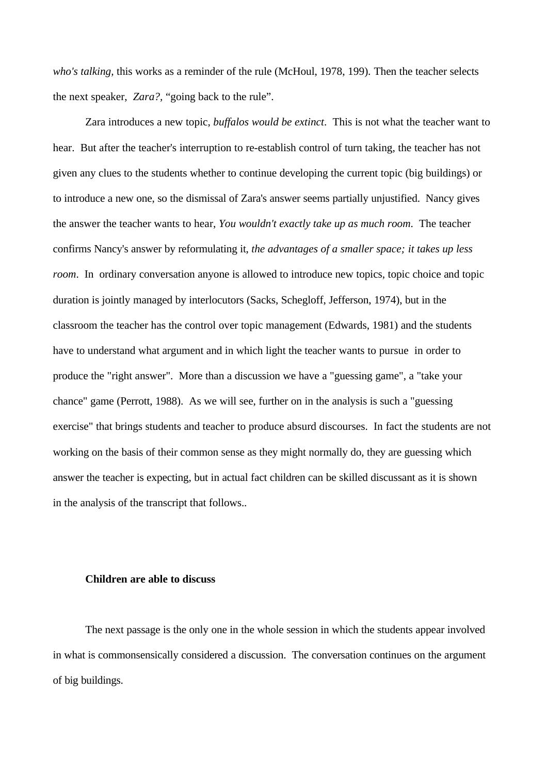*who's talking,* this works as a reminder of the rule (McHoul, 1978, 199)*.* Then the teacher selects the next speaker, *Zara?,* "going back to the rule".

Zara introduces a new topic, *buffalos would be extinct*. This is not what the teacher want to hear. But after the teacher's interruption to re-establish control of turn taking, the teacher has not given any clues to the students whether to continue developing the current topic (big buildings) or to introduce a new one, so the dismissal of Zara's answer seems partially unjustified. Nancy gives the answer the teacher wants to hear, *You wouldn't exactly take up as much room*. The teacher confirms Nancy's answer by reformulating it, *the advantages of a smaller space; it takes up less room*. In ordinary conversation anyone is allowed to introduce new topics, topic choice and topic duration is jointly managed by interlocutors (Sacks, Schegloff, Jefferson, 1974), but in the classroom the teacher has the control over topic management (Edwards, 1981) and the students have to understand what argument and in which light the teacher wants to pursue in order to produce the "right answer". More than a discussion we have a "guessing game", a "take your chance" game (Perrott, 1988). As we will see, further on in the analysis is such a "guessing exercise" that brings students and teacher to produce absurd discourses. In fact the students are not working on the basis of their common sense as they might normally do, they are guessing which answer the teacher is expecting, but in actual fact children can be skilled discussant as it is shown in the analysis of the transcript that follows..

## **Children are able to discuss**

The next passage is the only one in the whole session in which the students appear involved in what is commonsensically considered a discussion. The conversation continues on the argument of big buildings.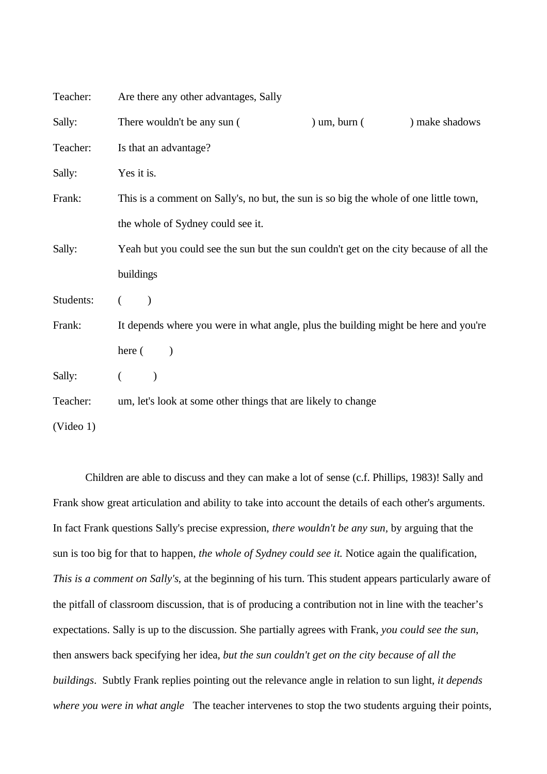| Teacher:  | Are there any other advantages, Sally                                                  |                |                |
|-----------|----------------------------------------------------------------------------------------|----------------|----------------|
| Sally:    | There wouldn't be any sun (                                                            | ) um, burn $($ | ) make shadows |
| Teacher:  | Is that an advantage?                                                                  |                |                |
| Sally:    | Yes it is.                                                                             |                |                |
| Frank:    | This is a comment on Sally's, no but, the sun is so big the whole of one little town,  |                |                |
|           | the whole of Sydney could see it.                                                      |                |                |
| Sally:    | Yeah but you could see the sun but the sun couldn't get on the city because of all the |                |                |
|           | buildings                                                                              |                |                |
| Students: | $\mathcal{E}$<br>$\left($                                                              |                |                |
| Frank:    | It depends where you were in what angle, plus the building might be here and you're    |                |                |
|           | here $($                                                                               |                |                |
| Sally:    | $\left($<br>$\mathcal{E}$                                                              |                |                |
| Teacher:  | um, let's look at some other things that are likely to change                          |                |                |
| (Video 1) |                                                                                        |                |                |

Children are able to discuss and they can make a lot of sense (c.f. Phillips, 1983)! Sally and Frank show great articulation and ability to take into account the details of each other's arguments. In fact Frank questions Sally's precise expression, *there wouldn't be any sun,* by arguing that the sun is too big for that to happen, *the whole of Sydney could see it.* Notice again the qualification, *This is a comment on Sally's*, at the beginning of his turn. This student appears particularly aware of the pitfall of classroom discussion, that is of producing a contribution not in line with the teacher's expectations. Sally is up to the discussion. She partially agrees with Frank, *you could see the sun*, then answers back specifying her idea, *but the sun couldn't get on the city because of all the buildings*. Subtly Frank replies pointing out the relevance angle in relation to sun light, *it depends where you were in what angle* The teacher intervenes to stop the two students arguing their points,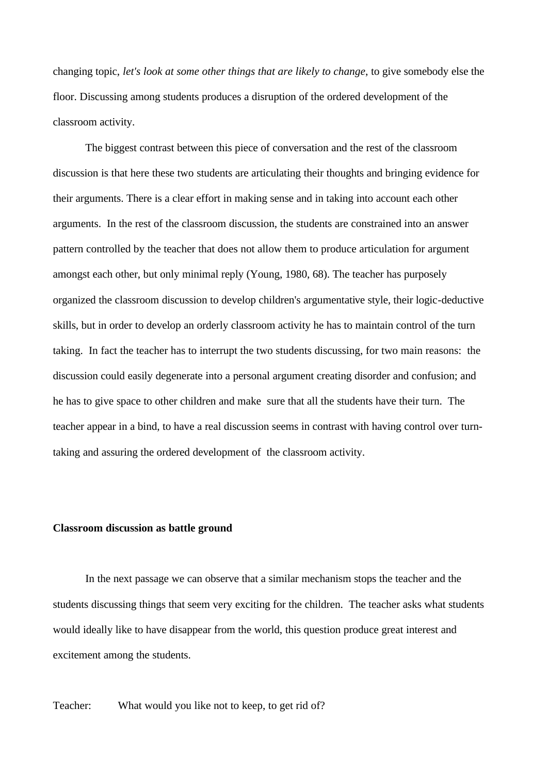changing topic, *let's look at some other things that are likely to change*, to give somebody else the floor. Discussing among students produces a disruption of the ordered development of the classroom activity.

The biggest contrast between this piece of conversation and the rest of the classroom discussion is that here these two students are articulating their thoughts and bringing evidence for their arguments. There is a clear effort in making sense and in taking into account each other arguments. In the rest of the classroom discussion, the students are constrained into an answer pattern controlled by the teacher that does not allow them to produce articulation for argument amongst each other, but only minimal reply (Young, 1980, 68). The teacher has purposely organized the classroom discussion to develop children's argumentative style, their logic-deductive skills, but in order to develop an orderly classroom activity he has to maintain control of the turn taking. In fact the teacher has to interrupt the two students discussing, for two main reasons: the discussion could easily degenerate into a personal argument creating disorder and confusion; and he has to give space to other children and make sure that all the students have their turn. The teacher appear in a bind, to have a real discussion seems in contrast with having control over turntaking and assuring the ordered development of the classroom activity.

#### **Classroom discussion as battle ground**

In the next passage we can observe that a similar mechanism stops the teacher and the students discussing things that seem very exciting for the children. The teacher asks what students would ideally like to have disappear from the world, this question produce great interest and excitement among the students.

Teacher: What would you like not to keep, to get rid of?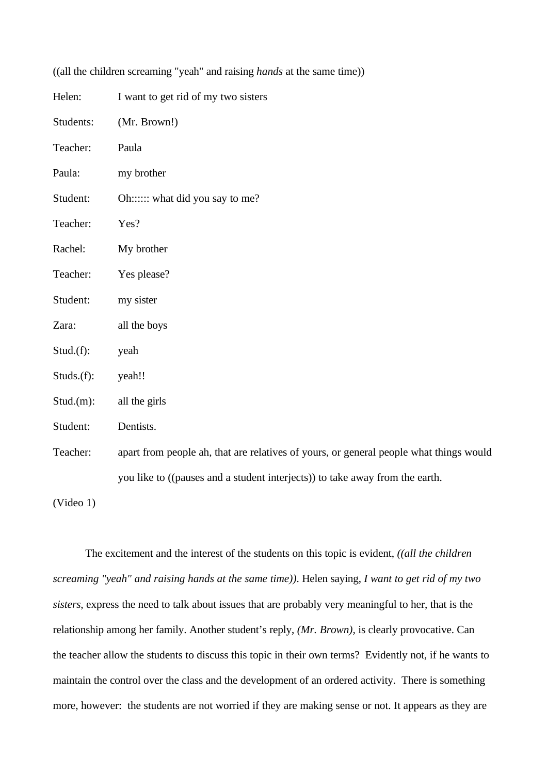| Helen:     | I want to get rid of my two sisters                                                    |
|------------|----------------------------------------------------------------------------------------|
| Students:  | (Mr. Brown!)                                                                           |
| Teacher:   | Paula                                                                                  |
| Paula:     | my brother                                                                             |
| Student:   | Oh::::: what did you say to me?                                                        |
| Teacher:   | Yes?                                                                                   |
| Rachel:    | My brother                                                                             |
| Teacher:   | Yes please?                                                                            |
| Student:   | my sister                                                                              |
| Zara:      | all the boys                                                                           |
| Stud.f):   | yeah                                                                                   |
| Studs.(f): | yeah!!                                                                                 |
| Stud.(m):  | all the girls                                                                          |
| Student:   | Dentists.                                                                              |
| Teacher:   | apart from people ah, that are relatives of yours, or general people what things would |
|            | you like to ((pauses and a student interjects)) to take away from the earth.           |
|            |                                                                                        |

((all the children screaming "yeah" and raising *hands* at the same time))

(Video 1)

The excitement and the interest of the students on this topic is evident, *((all the children screaming "yeah" and raising hands at the same time))*. Helen saying, *I want to get rid of my two sisters*, express the need to talk about issues that are probably very meaningful to her, that is the relationship among her family. Another student's reply, *(Mr. Brown),* is clearly provocative. Can the teacher allow the students to discuss this topic in their own terms? Evidently not, if he wants to maintain the control over the class and the development of an ordered activity. There is something more, however: the students are not worried if they are making sense or not. It appears as they are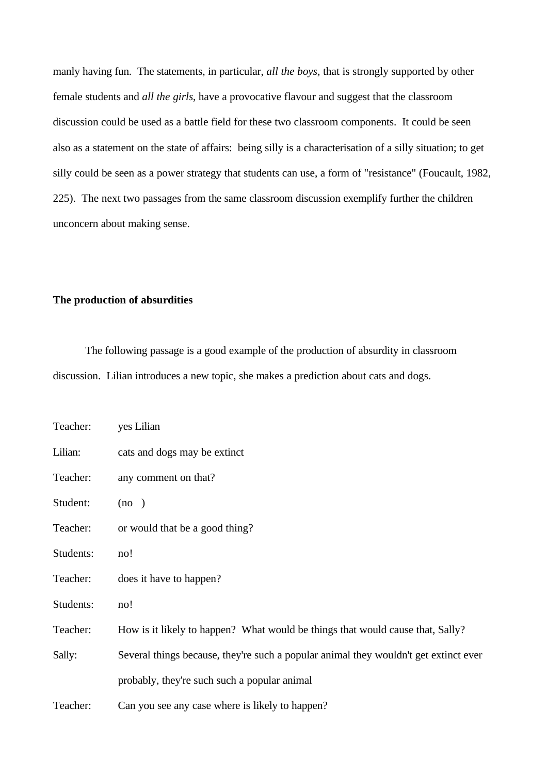manly having fun. The statements, in particular, *all the boys*, that is strongly supported by other female students and *all the girls*, have a provocative flavour and suggest that the classroom discussion could be used as a battle field for these two classroom components. It could be seen also as a statement on the state of affairs: being silly is a characterisation of a silly situation; to get silly could be seen as a power strategy that students can use, a form of "resistance" (Foucault, 1982, 225). The next two passages from the same classroom discussion exemplify further the children unconcern about making sense.

## **The production of absurdities**

The following passage is a good example of the production of absurdity in classroom discussion. Lilian introduces a new topic, she makes a prediction about cats and dogs.

| Teacher:  | yes Lilian                                                                           |
|-----------|--------------------------------------------------------------------------------------|
| Lilian:   | cats and dogs may be extinct                                                         |
| Teacher:  | any comment on that?                                                                 |
| Student:  | (no)                                                                                 |
| Teacher:  | or would that be a good thing?                                                       |
| Students: | no!                                                                                  |
| Teacher:  | does it have to happen?                                                              |
| Students: | no!                                                                                  |
| Teacher:  | How is it likely to happen? What would be things that would cause that, Sally?       |
| Sally:    | Several things because, they're such a popular animal they wouldn't get extinct ever |
|           | probably, they're such such a popular animal                                         |
| Teacher:  | Can you see any case where is likely to happen?                                      |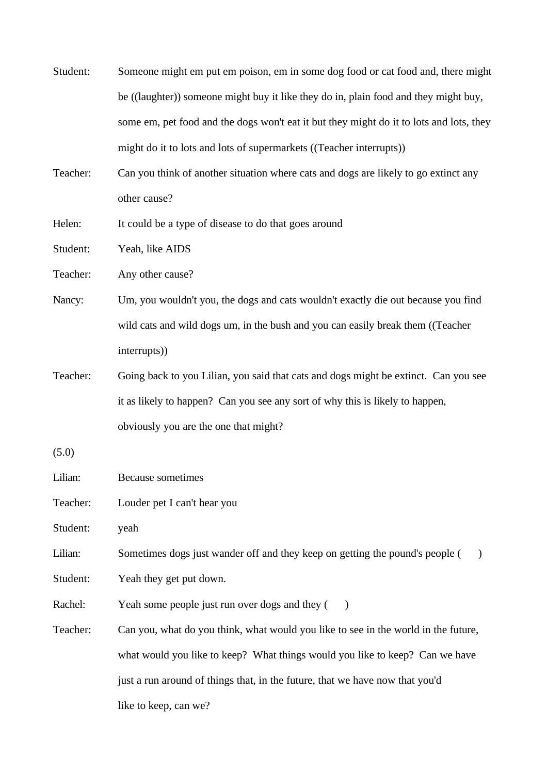| Student: | Someone might em put em poison, em in some dog food or cat food and, there might              |  |
|----------|-----------------------------------------------------------------------------------------------|--|
|          | be ((laughter)) someone might buy it like they do in, plain food and they might buy,          |  |
|          | some em, pet food and the dogs won't eat it but they might do it to lots and lots, they       |  |
|          | might do it to lots and lots of supermarkets ((Teacher interrupts))                           |  |
| Teacher: | Can you think of another situation where cats and dogs are likely to go extinct any           |  |
|          | other cause?                                                                                  |  |
| Helen:   | It could be a type of disease to do that goes around                                          |  |
| Student: | Yeah, like AIDS                                                                               |  |
| Teacher: | Any other cause?                                                                              |  |
| Nancy:   | Um, you wouldn't you, the dogs and cats wouldn't exactly die out because you find             |  |
|          | wild cats and wild dogs um, in the bush and you can easily break them ((Teacher               |  |
|          | interrupts))                                                                                  |  |
| Teacher: | Going back to you Lilian, you said that cats and dogs might be extinct. Can you see           |  |
|          | it as likely to happen? Can you see any sort of why this is likely to happen,                 |  |
|          | obviously you are the one that might?                                                         |  |
| (5.0)    |                                                                                               |  |
| Lilian:  | Because sometimes                                                                             |  |
| Teacher: | Louder pet I can't hear you                                                                   |  |
| Student: | yeah                                                                                          |  |
| Lilian:  | Sometimes dogs just wander off and they keep on getting the pound's people (<br>$\mathcal{E}$ |  |
| Student: | Yeah they get put down.                                                                       |  |
| Rachel:  | Yeah some people just run over dogs and they (<br>$\rightarrow$                               |  |
| Teacher: | Can you, what do you think, what would you like to see in the world in the future,            |  |
|          | what would you like to keep? What things would you like to keep? Can we have                  |  |
|          | just a run around of things that, in the future, that we have now that you'd                  |  |
|          | like to keep, can we?                                                                         |  |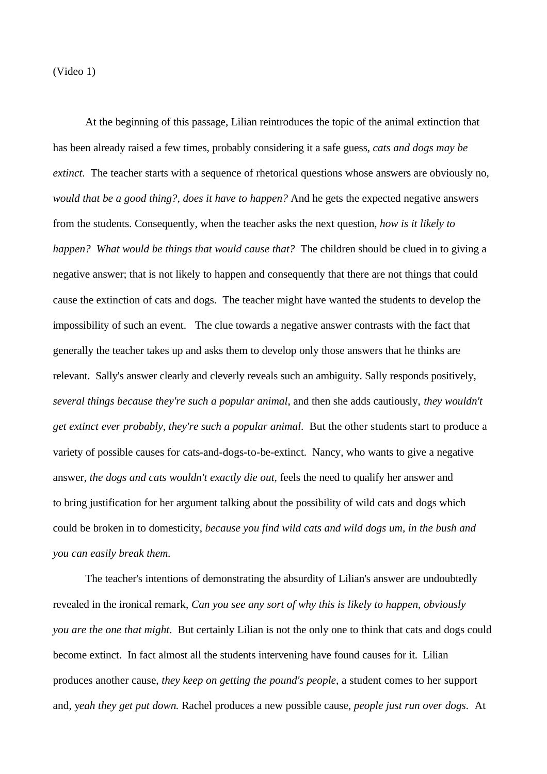(Video 1)

At the beginning of this passage, Lilian reintroduces the topic of the animal extinction that has been already raised a few times, probably considering it a safe guess, *cats and dogs may be extinct*. The teacher starts with a sequence of rhetorical questions whose answers are obviously no, *would that be a good thing?, does it have to happen?* And he gets the expected negative answers from the students. Consequently, when the teacher asks the next question, *how is it likely to happen? What would be things that would cause that?* The children should be clued in to giving a negative answer; that is not likely to happen and consequently that there are not things that could cause the extinction of cats and dogs. The teacher might have wanted the students to develop the impossibility of such an event. The clue towards a negative answer contrasts with the fact that generally the teacher takes up and asks them to develop only those answers that he thinks are relevant. Sally's answer clearly and cleverly reveals such an ambiguity. Sally responds positively, *several things because they're such a popular animal*, and then she adds cautiously, *they wouldn't get extinct ever probably, they're such a popular animal*. But the other students start to produce a variety of possible causes for cats-and-dogs-to-be-extinct. Nancy, who wants to give a negative answer, *the dogs and cats wouldn't exactly die out,* feels the need to qualify her answer and to bring justification for her argument talking about the possibility of wild cats and dogs which could be broken in to domesticity, *because you find wild cats and wild dogs um, in the bush and you can easily break them.*

The teacher's intentions of demonstrating the absurdity of Lilian's answer are undoubtedly revealed in the ironical remark, *Can you see any sort of why this is likely to happen, obviously you are the one that might*. But certainly Lilian is not the only one to think that cats and dogs could become extinct. In fact almost all the students intervening have found causes for it. Lilian produces another cause, *they keep on getting the pound's people*, a student comes to her support and, y*eah they get put down.* Rachel produces a new possible cause, *people just run over dogs*. At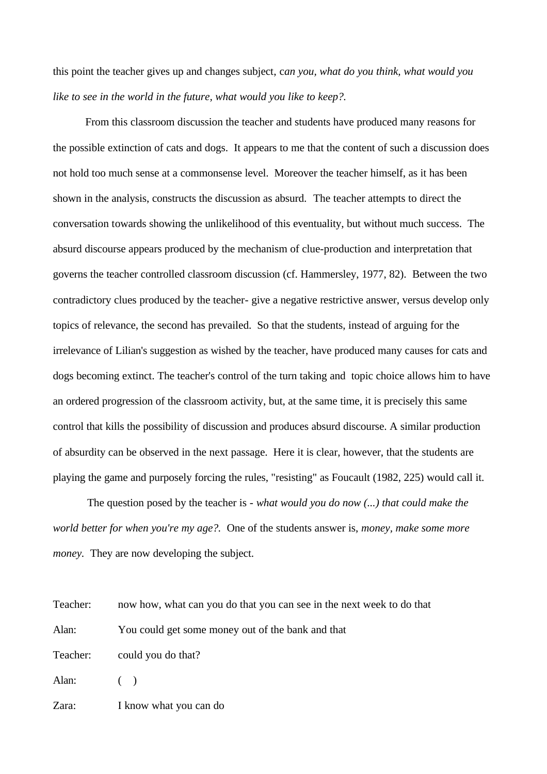this point the teacher gives up and changes subject, c*an you, what do you think, what would you like to see in the world in the future, what would you like to keep?.* 

From this classroom discussion the teacher and students have produced many reasons for the possible extinction of cats and dogs. It appears to me that the content of such a discussion does not hold too much sense at a commonsense level. Moreover the teacher himself, as it has been shown in the analysis, constructs the discussion as absurd. The teacher attempts to direct the conversation towards showing the unlikelihood of this eventuality, but without much success. The absurd discourse appears produced by the mechanism of clue-production and interpretation that governs the teacher controlled classroom discussion (cf. Hammersley, 1977, 82). Between the two contradictory clues produced by the teacher- give a negative restrictive answer, versus develop only topics of relevance, the second has prevailed. So that the students, instead of arguing for the irrelevance of Lilian's suggestion as wished by the teacher, have produced many causes for cats and dogs becoming extinct. The teacher's control of the turn taking and topic choice allows him to have an ordered progression of the classroom activity, but, at the same time, it is precisely this same control that kills the possibility of discussion and produces absurd discourse. A similar production of absurdity can be observed in the next passage. Here it is clear, however, that the students are playing the game and purposely forcing the rules, "resisting" as Foucault (1982, 225) would call it.

 The question posed by the teacher is - *what would you do now (...) that could make the world better for when you're my age?.* One of the students answer is, *money, make some more money.* They are now developing the subject.

| Teacher: | now how, what can you do that you can see in the next week to do that |
|----------|-----------------------------------------------------------------------|
| Alan:    | You could get some money out of the bank and that                     |
| Teacher: | could you do that?                                                    |
| Alan:    | (                                                                     |
| Zara:    | I know what you can do                                                |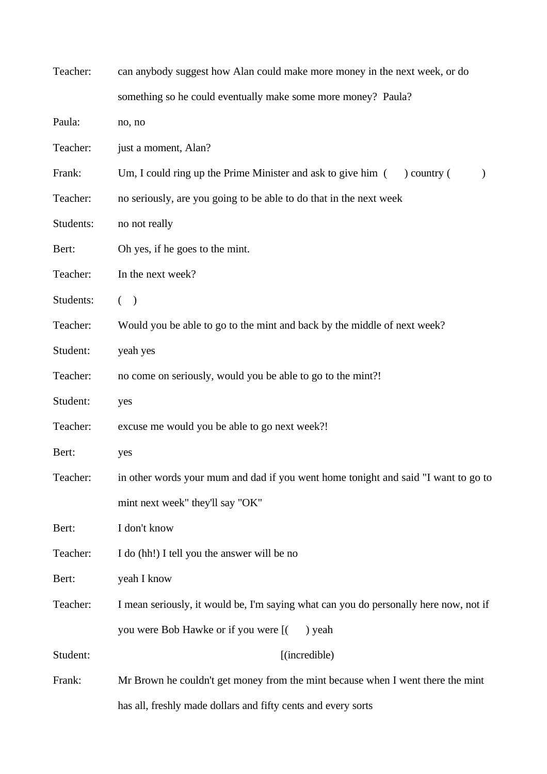| Teacher:  | can anybody suggest how Alan could make more money in the next week, or do                  |  |
|-----------|---------------------------------------------------------------------------------------------|--|
|           | something so he could eventually make some more money? Paula?                               |  |
| Paula:    | no, no                                                                                      |  |
| Teacher:  | just a moment, Alan?                                                                        |  |
| Frank:    | Um, I could ring up the Prime Minister and ask to give him (<br>$\alpha$ ) country $\alpha$ |  |
| Teacher:  | no seriously, are you going to be able to do that in the next week                          |  |
| Students: | no not really                                                                               |  |
| Bert:     | Oh yes, if he goes to the mint.                                                             |  |
| Teacher:  | In the next week?                                                                           |  |
| Students: | $($ )                                                                                       |  |
| Teacher:  | Would you be able to go to the mint and back by the middle of next week?                    |  |
| Student:  | yeah yes                                                                                    |  |
| Teacher:  | no come on seriously, would you be able to go to the mint?!                                 |  |
| Student:  | yes                                                                                         |  |
| Teacher:  | excuse me would you be able to go next week?!                                               |  |
| Bert:     | yes                                                                                         |  |
| Teacher:  | in other words your mum and dad if you went home tonight and said "I want to go to          |  |
|           | mint next week" they'll say "OK"                                                            |  |
| Bert:     | I don't know                                                                                |  |
| Teacher:  | I do (hh!) I tell you the answer will be no                                                 |  |
| Bert:     | yeah I know                                                                                 |  |
| Teacher:  | I mean seriously, it would be, I'm saying what can you do personally here now, not if       |  |
|           | you were Bob Hawke or if you were [(<br>) yeah                                              |  |
| Student:  | [(incredible)                                                                               |  |
| Frank:    | Mr Brown he couldn't get money from the mint because when I went there the mint             |  |
|           | has all, freshly made dollars and fifty cents and every sorts                               |  |
|           |                                                                                             |  |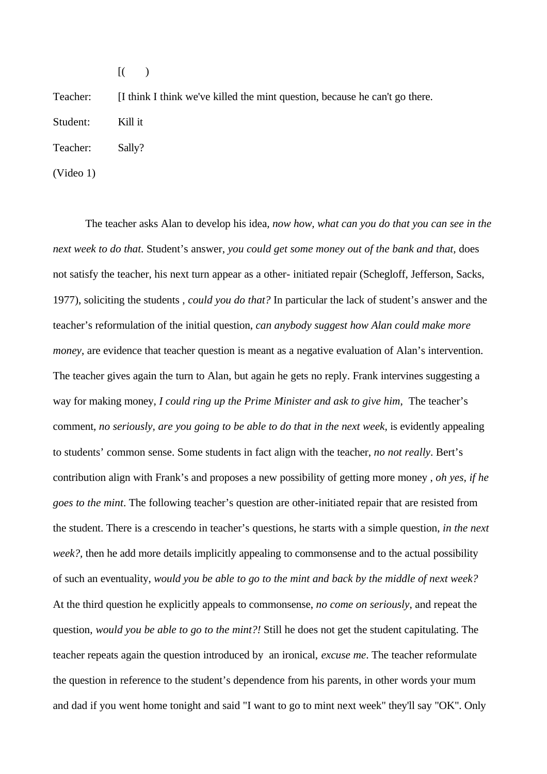$[$ ( )

Teacher: [I think I think we've killed the mint question, because he can't go there.

Student: Kill it

Teacher: Sally?

(Video 1)

The teacher asks Alan to develop his idea*, now how, what can you do that you can see in the next week to do that*. Student's answer, *you could get some money out of the bank and that,* does not satisfy the teacher, his next turn appear as a other- initiated repair (Schegloff, Jefferson, Sacks, 1977), soliciting the students , *could you do that?* In particular the lack of student's answer and the teacher's reformulation of the initial question, *can anybody suggest how Alan could make more money*, are evidence that teacher question is meant as a negative evaluation of Alan's intervention. The teacher gives again the turn to Alan, but again he gets no reply. Frank intervines suggesting a way for making money, *I could ring up the Prime Minister and ask to give him*, The teacher's comment, *no seriously, are you going to be able to do that in the next week*, is evidently appealing to students' common sense. Some students in fact align with the teacher, *no not really*. Bert's contribution align with Frank's and proposes a new possibility of getting more money , *oh yes, if he goes to the mint*. The following teacher's question are other-initiated repair that are resisted from the student. There is a crescendo in teacher's questions, he starts with a simple question, *in the next week?,* then he add more details implicitly appealing to commonsense and to the actual possibility of such an eventuality, *would you be able to go to the mint and back by the middle of next week?* At the third question he explicitly appeals to commonsense, *no come on seriously*, and repeat the question, *would you be able to go to the mint?!* Still he does not get the student capitulating. The teacher repeats again the question introduced by an ironical, *excuse me*. The teacher reformulate the question in reference to the student's dependence from his parents, in other words your mum and dad if you went home tonight and said "I want to go to mint next week" they'll say "OK". Only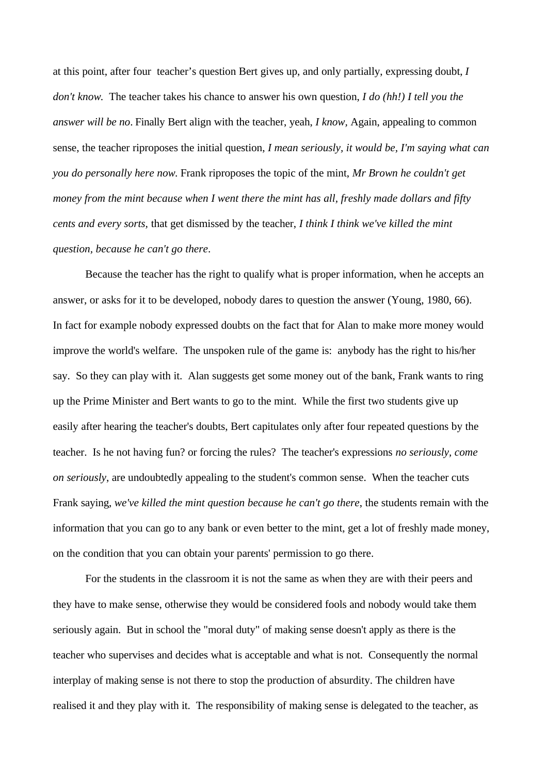at this point, after four teacher's question Bert gives up, and only partially, expressing doubt, *I don't know*. The teacher takes his chance to answer his own question, *I do (hh!) I tell you the answer will be no*. Finally Bert align with the teacher, yeah, *I know,* Again, appealing to common sense, the teacher riproposes the initial question, *I mean seriously, it would be, I'm saying what can you do personally here now*. Frank riproposes the topic of the mint, *Mr Brown he couldn't get money from the mint because when I went there the mint has all, freshly made dollars and fifty cents and every sorts,* that get dismissed by the teacher, *I think I think we've killed the mint question, because he can't go there*.

Because the teacher has the right to qualify what is proper information, when he accepts an answer, or asks for it to be developed, nobody dares to question the answer (Young, 1980, 66). In fact for example nobody expressed doubts on the fact that for Alan to make more money would improve the world's welfare. The unspoken rule of the game is: anybody has the right to his/her say. So they can play with it. Alan suggests get some money out of the bank, Frank wants to ring up the Prime Minister and Bert wants to go to the mint. While the first two students give up easily after hearing the teacher's doubts, Bert capitulates only after four repeated questions by the teacher. Is he not having fun? or forcing the rules? The teacher's expressions *no seriously, come on seriously*, are undoubtedly appealing to the student's common sense. When the teacher cuts Frank saying, *we've killed the mint question because he can't go there*, the students remain with the information that you can go to any bank or even better to the mint, get a lot of freshly made money, on the condition that you can obtain your parents' permission to go there.

For the students in the classroom it is not the same as when they are with their peers and they have to make sense, otherwise they would be considered fools and nobody would take them seriously again. But in school the "moral duty" of making sense doesn't apply as there is the teacher who supervises and decides what is acceptable and what is not. Consequently the normal interplay of making sense is not there to stop the production of absurdity. The children have realised it and they play with it. The responsibility of making sense is delegated to the teacher, as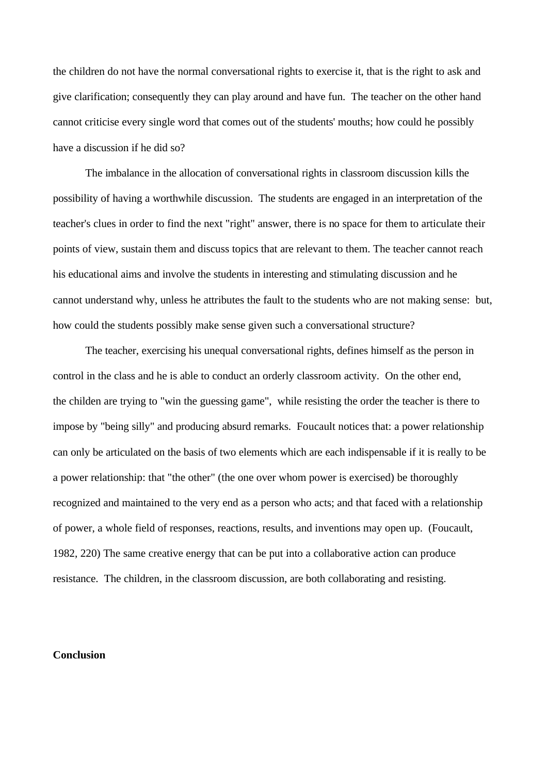the children do not have the normal conversational rights to exercise it, that is the right to ask and give clarification; consequently they can play around and have fun. The teacher on the other hand cannot criticise every single word that comes out of the students' mouths; how could he possibly have a discussion if he did so?

The imbalance in the allocation of conversational rights in classroom discussion kills the possibility of having a worthwhile discussion. The students are engaged in an interpretation of the teacher's clues in order to find the next "right" answer, there is no space for them to articulate their points of view, sustain them and discuss topics that are relevant to them. The teacher cannot reach his educational aims and involve the students in interesting and stimulating discussion and he cannot understand why, unless he attributes the fault to the students who are not making sense: but, how could the students possibly make sense given such a conversational structure?

The teacher, exercising his unequal conversational rights, defines himself as the person in control in the class and he is able to conduct an orderly classroom activity. On the other end, the childen are trying to "win the guessing game", while resisting the order the teacher is there to impose by "being silly" and producing absurd remarks. Foucault notices that: a power relationship can only be articulated on the basis of two elements which are each indispensable if it is really to be a power relationship: that "the other" (the one over whom power is exercised) be thoroughly recognized and maintained to the very end as a person who acts; and that faced with a relationship of power, a whole field of responses, reactions, results, and inventions may open up. (Foucault, 1982, 220) The same creative energy that can be put into a collaborative action can produce resistance. The children, in the classroom discussion, are both collaborating and resisting.

## **Conclusion**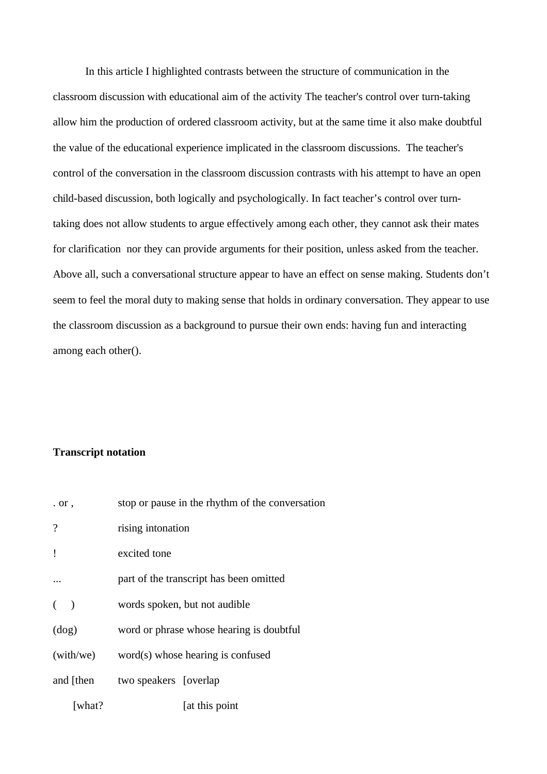In this article I highlighted contrasts between the structure of communication in the classroom discussion with educational aim of the activity The teacher's control over turn-taking allow him the production of ordered classroom activity, but at the same time it also make doubtful the value of the educational experience implicated in the classroom discussions. The teacher's control of the conversation in the classroom discussion contrasts with his attempt to have an open child-based discussion, both logically and psychologically. In fact teacher's control over turntaking does not allow students to argue effectively among each other, they cannot ask their mates for clarification nor they can provide arguments for their position, unless asked from the teacher. Above all, such a conversational structure appear to have an effect on sense making. Students don't seem to feel the moral duty to making sense that holds in ordinary conversation. They appear to use the classroom discussion as a background to pursue their own ends: having fun and interacting among each other().

#### **Transcript notation**

| $.$ or $\cdot$ | stop or pause in the rhythm of the conversation |
|----------------|-------------------------------------------------|
| $\overline{?}$ | rising intonation                               |
| $\mathbf{I}$   | excited tone                                    |
|                | part of the transcript has been omitted         |
| $($ )          | words spoken, but not audible                   |
| (dog)          | word or phrase whose hearing is doubtful        |
| (with/we)      | word(s) whose hearing is confused               |
| and [then]     | two speakers [overlap]                          |
| [what?         | [at this point                                  |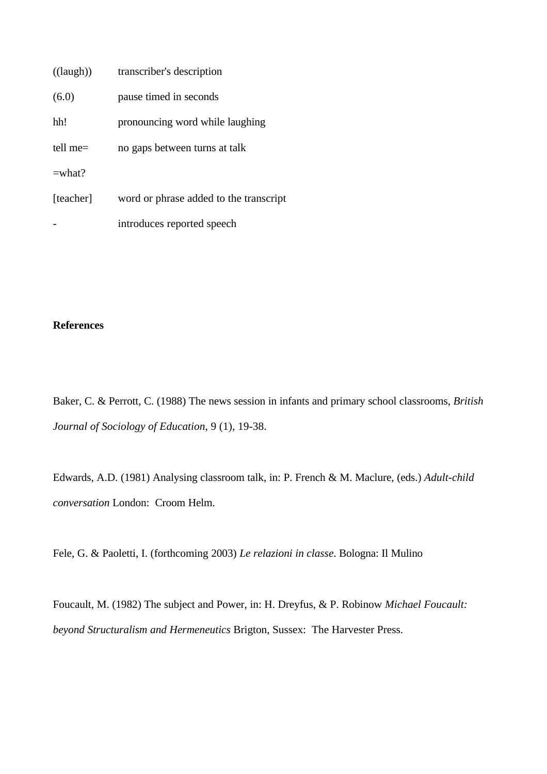| $((\text{laugh}))$ | transcriber's description              |
|--------------------|----------------------------------------|
| (6.0)              | pause timed in seconds                 |
| hh!                | pronouncing word while laughing        |
| tell me $=$        | no gaps between turns at talk          |
| $=$ what?          |                                        |
| [teacher]          | word or phrase added to the transcript |
|                    | introduces reported speech             |

### **References**

Baker, C. & Perrott, C. (1988) The news session in infants and primary school classrooms, *British Journal of Sociology of Education*, 9 (1), 19-38.

Edwards, A.D. (1981) Analysing classroom talk, in: P. French & M. Maclure, (eds.) *Adult-child conversation* London: Croom Helm.

Fele, G. & Paoletti, I. (forthcoming 2003) *Le relazioni in classe*. Bologna: Il Mulino

Foucault, M. (1982) The subject and Power, in: H. Dreyfus, & P. Robinow *Michael Foucault: beyond Structuralism and Hermeneutics* Brigton, Sussex: The Harvester Press.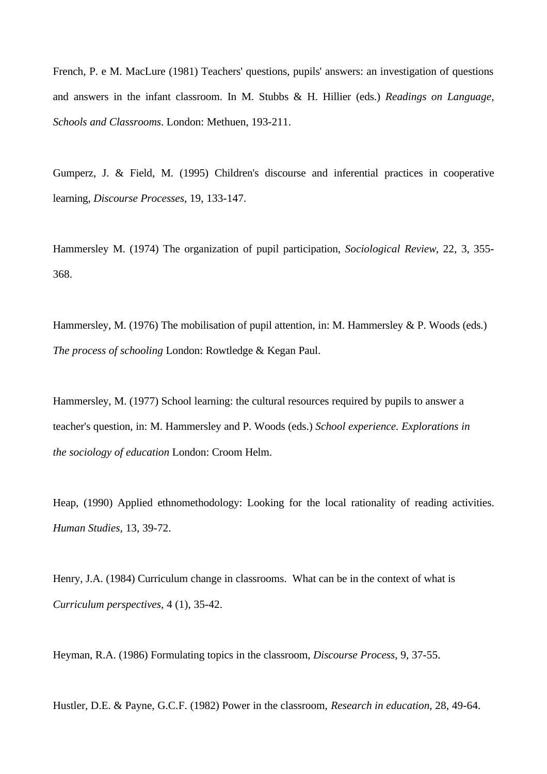French, P. e M. MacLure (1981) Teachers' questions, pupils' answers: an investigation of questions and answers in the infant classroom. In M. Stubbs & H. Hillier (eds.) *Readings on Language, Schools and Classrooms*. London: Methuen, 193-211.

Gumperz, J. & Field, M. (1995) Children's discourse and inferential practices in cooperative learning, *Discourse Processes*, 19, 133-147.

Hammersley M. (1974) The organization of pupil participation, *Sociological Review*, 22, 3, 355- 368.

Hammersley, M. (1976) The mobilisation of pupil attention, in: M. Hammersley & P. Woods (eds.) *The process of schooling* London: Rowtledge & Kegan Paul.

Hammersley, M. (1977) School learning: the cultural resources required by pupils to answer a teacher's question, in: M. Hammersley and P. Woods (eds.) *School experience. Explorations in the sociology of education* London: Croom Helm.

Heap, (1990) Applied ethnomethodology: Looking for the local rationality of reading activities. *Human Studies*, 13, 39-72.

Henry, J.A. (1984) Curriculum change in classrooms. What can be in the context of what is *Curriculum perspectives*, 4 (1), 35-42.

Heyman, R.A. (1986) Formulating topics in the classroom, *Discourse Process*, 9, 37-55.

Hustler, D.E. & Payne, G.C.F. (1982) Power in the classroom, *Research in education*, 28, 49-64.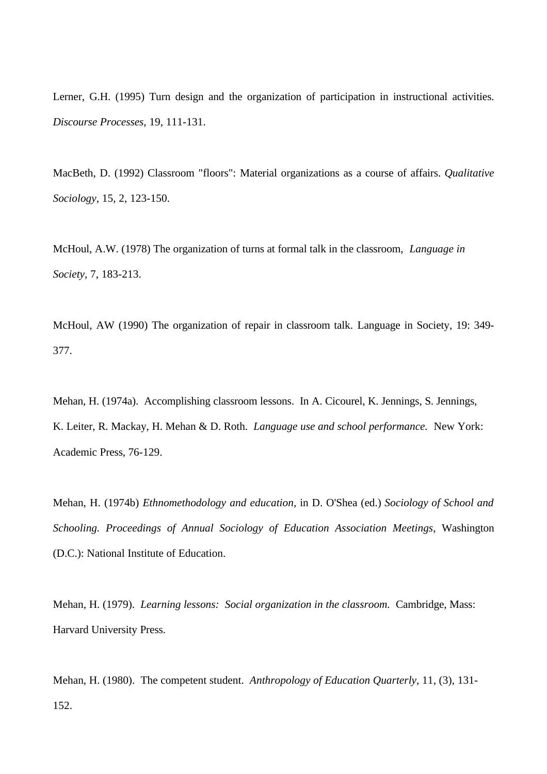Lerner, G.H. (1995) Turn design and the organization of participation in instructional activities. *Discourse Processes*, 19, 111-131.

MacBeth, D. (1992) Classroom "floors": Material organizations as a course of affairs. *Qualitative Sociology*, 15, 2, 123-150.

McHoul, A.W. (1978) The organization of turns at formal talk in the classroom, *Language in Society*, 7, 183-213.

McHoul, AW (1990) The organization of repair in classroom talk*.* Language in Society, 19: 349- 377.

Mehan, H. (1974a). Accomplishing classroom lessons. In A. Cicourel, K. Jennings, S. Jennings, K. Leiter, R. Mackay, H. Mehan & D. Roth. *Language use and school performance.* New York: Academic Press, 76-129.

Mehan, H. (1974b) *Ethnomethodology and education*, in D. O'Shea (ed.) *Sociology of School and Schooling. Proceedings of Annual Sociology of Education Association Meetings*, Washington (D.C.): National Institute of Education.

Mehan, H. (1979). *Learning lessons: Social organization in the classroom.* Cambridge, Mass: Harvard University Press.

Mehan, H. (1980). The competent student. *Anthropology of Education Quarterly*, 11, (3), 131- 152.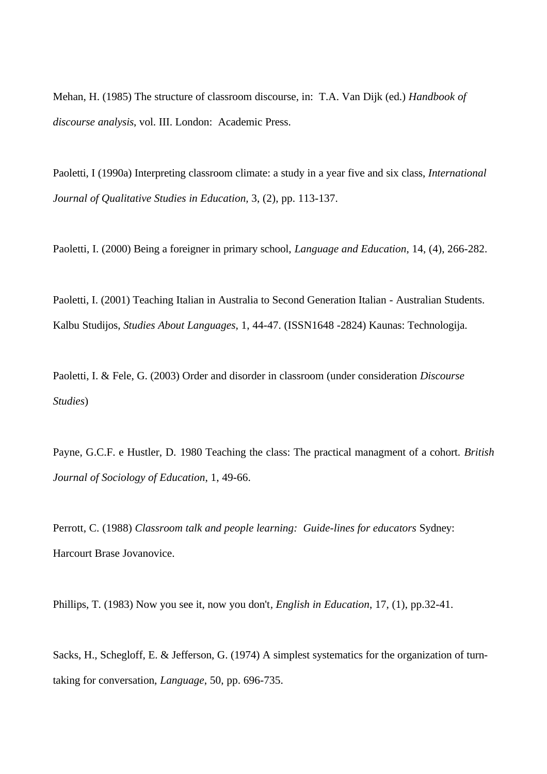Mehan, H. (1985) The structure of classroom discourse, in: T.A. Van Dijk (ed.) *Handbook of discourse analysis*, vol. III. London: Academic Press.

Paoletti, I (1990a) Interpreting classroom climate: a study in a year five and six class, *International Journal of Qualitative Studies in Education,* 3, (2), pp. 113-137.

Paoletti, I. (2000) Being a foreigner in primary school, *Language and Education*, 14, (4), 266-282.

Paoletti, I. (2001) Teaching Italian in Australia to Second Generation Italian - Australian Students. Kalbu Studijos, *Studies About Languages*, 1, 44-47. (ISSN1648 -2824) Kaunas: Technologija.

Paoletti, I. & Fele, G. (2003) Order and disorder in classroom (under consideration *Discourse Studies*)

Payne, G.C.F. e Hustler, D. 1980 Teaching the class: The practical managment of a cohort. *British Journal of Sociology of Education*, 1, 49-66.

Perrott, C. (1988) *Classroom talk and people learning: Guide-lines for educators* Sydney: Harcourt Brase Jovanovice.

Phillips, T. (1983) Now you see it, now you don't*, English in Education*, 17, (1), pp.32-41.

Sacks, H., Schegloff, E. & Jefferson, G. (1974) A simplest systematics for the organization of turntaking for conversation, *Language*, 50, pp. 696-735.